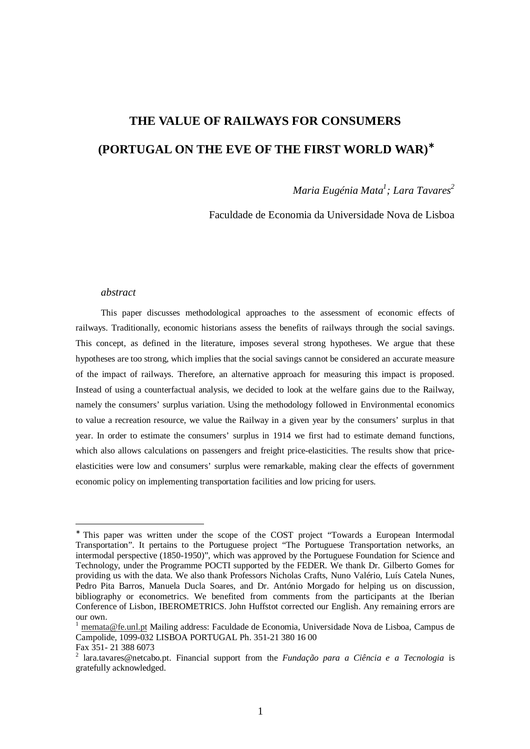# **THE VALUE OF RAILWAYS FOR CONSUMERS (PORTUGAL ON THE EVE OF THE FIRST WORLD WAR)**<sup>∗</sup>

### *Maria Eugénia Mata1 ; Lara Tavares2*

Faculdade de Economia da Universidade Nova de Lisboa

#### *abstract*

This paper discusses methodological approaches to the assessment of economic effects of railways. Traditionally, economic historians assess the benefits of railways through the social savings. This concept, as defined in the literature, imposes several strong hypotheses. We argue that these hypotheses are too strong, which implies that the social savings cannot be considered an accurate measure of the impact of railways. Therefore, an alternative approach for measuring this impact is proposed. Instead of using a counterfactual analysis, we decided to look at the welfare gains due to the Railway, namely the consumers' surplus variation. Using the methodology followed in Environmental economics to value a recreation resource, we value the Railway in a given year by the consumers' surplus in that year. In order to estimate the consumers' surplus in 1914 we first had to estimate demand functions, which also allows calculations on passengers and freight price-elasticities. The results show that priceelasticities were low and consumers' surplus were remarkable, making clear the effects of government economic policy on implementing transportation facilities and low pricing for users.

<sup>∗</sup> This paper was written under the scope of the COST project "Towards a European Intermodal Transportation". It pertains to the Portuguese project "The Portuguese Transportation networks, an intermodal perspective (1850-1950)", which was approved by the Portuguese Foundation for Science and Technology, under the Programme POCTI supported by the FEDER. We thank Dr. Gilberto Gomes for providing us with the data. We also thank Professors Nicholas Crafts, Nuno Valério, Luís Catela Nunes, Pedro Pita Barros, Manuela Ducla Soares, and Dr. António Morgado for helping us on discussion, bibliography or econometrics. We benefited from comments from the participants at the Iberian Conference of Lisbon, IBEROMETRICS. John Huffstot corrected our English. Any remaining errors are our own.

<sup>1</sup> memata@fe.unl.pt Mailing address: Faculdade de Economia, Universidade Nova de Lisboa, Campus de Campolide, 1099-032 LISBOA PORTUGAL Ph. 351-21 380 16 00

Fax 351- 21 388 6073

<sup>2</sup> lara.tavares@netcabo.pt. Financial support from the *Fundação para a Ciência e a Tecnologia* is gratefully acknowledged.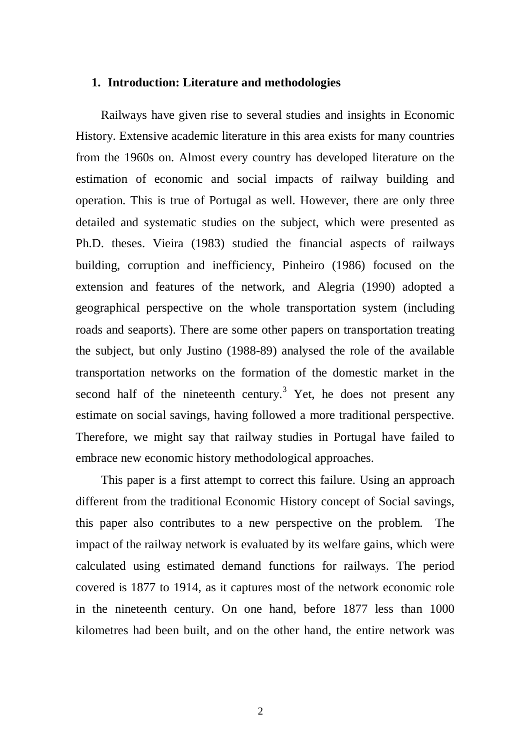#### **1. Introduction: Literature and methodologies**

Railways have given rise to several studies and insights in Economic History. Extensive academic literature in this area exists for many countries from the 1960s on. Almost every country has developed literature on the estimation of economic and social impacts of railway building and operation. This is true of Portugal as well. However, there are only three detailed and systematic studies on the subject, which were presented as Ph.D. theses. Vieira (1983) studied the financial aspects of railways building, corruption and inefficiency, Pinheiro (1986) focused on the extension and features of the network, and Alegria (1990) adopted a geographical perspective on the whole transportation system (including roads and seaports). There are some other papers on transportation treating the subject, but only Justino (1988-89) analysed the role of the available transportation networks on the formation of the domestic market in the second half of the nineteenth century.<sup>3</sup> Yet, he does not present any estimate on social savings, having followed a more traditional perspective. Therefore, we might say that railway studies in Portugal have failed to embrace new economic history methodological approaches.

This paper is a first attempt to correct this failure. Using an approach different from the traditional Economic History concept of Social savings, this paper also contributes to a new perspective on the problem. The impact of the railway network is evaluated by its welfare gains, which were calculated using estimated demand functions for railways. The period covered is 1877 to 1914, as it captures most of the network economic role in the nineteenth century. On one hand, before 1877 less than 1000 kilometres had been built, and on the other hand, the entire network was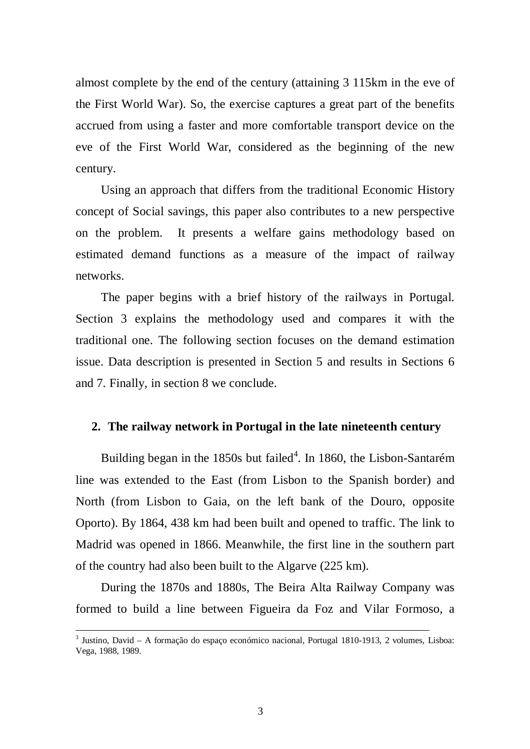almost complete by the end of the century (attaining 3 115km in the eve of the First World War). So, the exercise captures a great part of the benefits accrued from using a faster and more comfortable transport device on the eve of the First World War, considered as the beginning of the new century.

Using an approach that differs from the traditional Economic History concept of Social savings, this paper also contributes to a new perspective on the problem. It presents a welfare gains methodology based on estimated demand functions as a measure of the impact of railway networks.

The paper begins with a brief history of the railways in Portugal. Section 3 explains the methodology used and compares it with the traditional one. The following section focuses on the demand estimation issue. Data description is presented in Section 5 and results in Sections 6 and 7. Finally, in section 8 we conclude.

#### **2. The railway network in Portugal in the late nineteenth century**

Building began in the 1850s but failed<sup>4</sup>. In 1860, the Lisbon-Santarém line was extended to the East (from Lisbon to the Spanish border) and North (from Lisbon to Gaia, on the left bank of the Douro, opposite Oporto). By 1864, 438 km had been built and opened to traffic. The link to Madrid was opened in 1866. Meanwhile, the first line in the southern part of the country had also been built to the Algarve (225 km).

During the 1870s and 1880s, The Beira Alta Railway Company was formed to build a line between Figueira da Foz and Vilar Formoso, a

-

<sup>&</sup>lt;sup>3</sup> Justino, David - A formação do espaço económico nacional, Portugal 1810-1913, 2 volumes, Lisboa: Vega, 1988, 1989.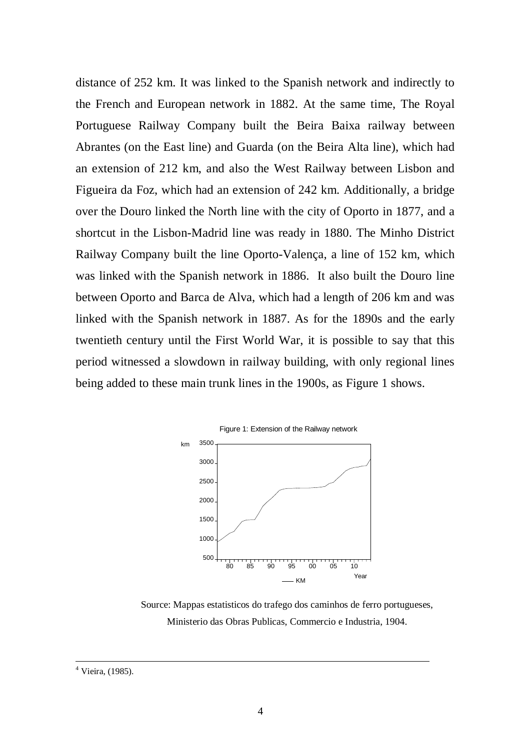distance of 252 km. It was linked to the Spanish network and indirectly to the French and European network in 1882. At the same time, The Royal Portuguese Railway Company built the Beira Baixa railway between Abrantes (on the East line) and Guarda (on the Beira Alta line), which had an extension of 212 km, and also the West Railway between Lisbon and Figueira da Foz, which had an extension of 242 km. Additionally, a bridge over the Douro linked the North line with the city of Oporto in 1877, and a shortcut in the Lisbon-Madrid line was ready in 1880. The Minho District Railway Company built the line Oporto-Valença, a line of 152 km, which was linked with the Spanish network in 1886. It also built the Douro line between Oporto and Barca de Alva, which had a length of 206 km and was linked with the Spanish network in 1887. As for the 1890s and the early twentieth century until the First World War, it is possible to say that this period witnessed a slowdown in railway building, with only regional lines being added to these main trunk lines in the 1900s, as Figure 1 shows.



Source: Mappas estatisticos do trafego dos caminhos de ferro portugueses, Ministerio das Obras Publicas, Commercio e Industria, 1904.

<u>.</u>

<sup>&</sup>lt;sup>4</sup> Vieira, (1985).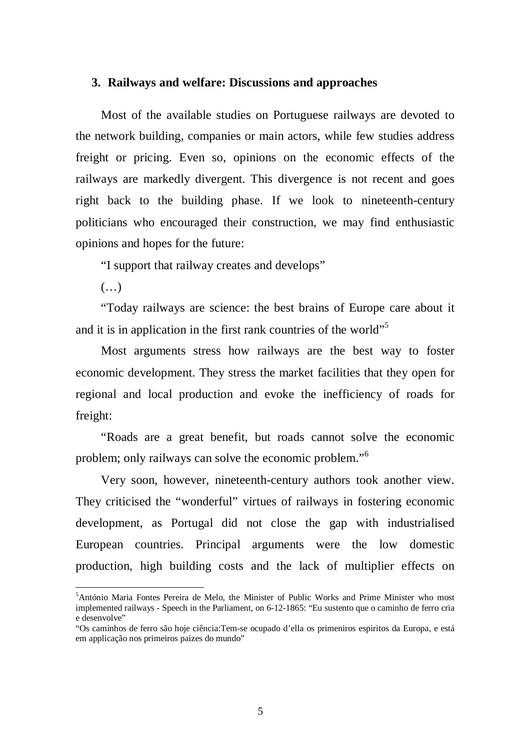#### **3. Railways and welfare: Discussions and approaches**

Most of the available studies on Portuguese railways are devoted to the network building, companies or main actors, while few studies address freight or pricing. Even so, opinions on the economic effects of the railways are markedly divergent. This divergence is not recent and goes right back to the building phase. If we look to nineteenth-century politicians who encouraged their construction, we may find enthusiastic opinions and hopes for the future:

"I support that railway creates and develops"

(…)

 $\overline{a}$ 

"Today railways are science: the best brains of Europe care about it and it is in application in the first rank countries of the world"<sup>5</sup>

Most arguments stress how railways are the best way to foster economic development. They stress the market facilities that they open for regional and local production and evoke the inefficiency of roads for freight:

"Roads are a great benefit, but roads cannot solve the economic problem; only railways can solve the economic problem."<sup>6</sup>

Very soon, however, nineteenth-century authors took another view. They criticised the "wonderful" virtues of railways in fostering economic development, as Portugal did not close the gap with industrialised European countries. Principal arguments were the low domestic production, high building costs and the lack of multiplier effects on

<sup>&</sup>lt;sup>5</sup>António Maria Fontes Pereira de Melo, the Minister of Public Works and Prime Minister who most implemented railways - Speech in the Parliament, on 6-12-1865: "Eu sustento que o caminho de ferro cria e desenvolve"

<sup>&</sup>quot;Os caminhos de ferro são hoje ciência:Tem-se ocupado d'ella os primeniros espiritos da Europa, e está em applicação nos primeiros paizes do mundo"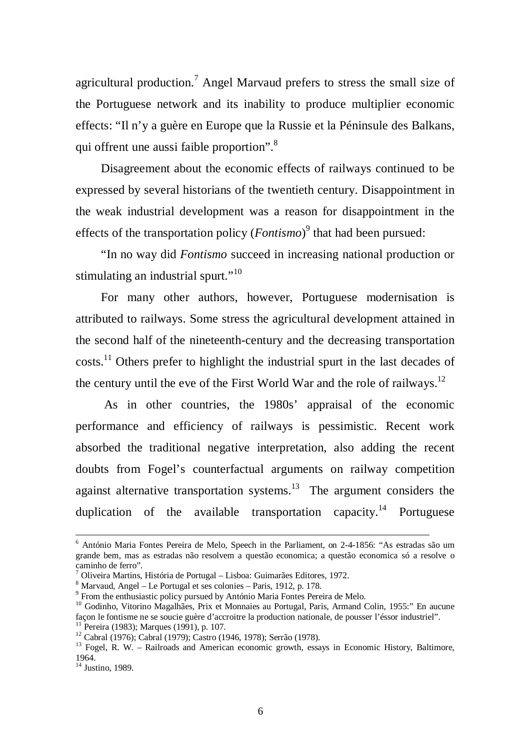agricultural production.<sup>7</sup> Angel Marvaud prefers to stress the small size of the Portuguese network and its inability to produce multiplier economic effects: "Il n'y a guère en Europe que la Russie et la Péninsule des Balkans, qui offrent une aussi faible proportion".<sup>8</sup>

Disagreement about the economic effects of railways continued to be expressed by several historians of the twentieth century. Disappointment in the weak industrial development was a reason for disappointment in the effects of the transportation policy (*Fontismo*)<sup>9</sup> that had been pursued:

"In no way did *Fontismo* succeed in increasing national production or stimulating an industrial spurt."<sup>10</sup>

For many other authors, however, Portuguese modernisation is attributed to railways. Some stress the agricultural development attained in the second half of the nineteenth-century and the decreasing transportation costs.<sup>11</sup> Others prefer to highlight the industrial spurt in the last decades of the century until the eve of the First World War and the role of railways.<sup>12</sup>

 As in other countries, the 1980s' appraisal of the economic performance and efficiency of railways is pessimistic. Recent work absorbed the traditional negative interpretation, also adding the recent doubts from Fogel's counterfactual arguments on railway competition against alternative transportation systems.<sup>13</sup> The argument considers the duplication of the available transportation capacity.<sup>14</sup> Portuguese

<u>.</u>

<sup>&</sup>lt;sup>6</sup> António Maria Fontes Pereira de Melo, Speech in the Parliament, on 2-4-1856: "As estradas são um grande bem, mas as estradas não resolvem a questão economica; a questão economica só a resolve o caminho de ferro".

<sup>7</sup> Oliveira Martins, História de Portugal – Lisboa: Guimarães Editores, 1972.

<sup>8</sup> Marvaud, Angel – Le Portugal et ses colonies – Paris, 1912, p. 178.

<sup>&</sup>lt;sup>9</sup> From the enthusiastic policy pursued by António Maria Fontes Pereira de Melo.

 $10$  Godinho, Vitorino Magalhães, Prix et Monnaies au Portugal, Paris, Armand Colin, 1955:" En aucune façon le fontisme ne se soucie guère d'accroitre la production nationale, de pousser l'éssor industriel".  $11$  Pereira (1983); Marques (1991), p. 107.

<sup>12</sup> Cabral (1976); Cabral (1979); Castro (1946, 1978); Serrão (1978).

 $13$  Fogel, R. W. – Railroads and American economic growth, essays in Economic History, Baltimore, 1964.

<sup>&</sup>lt;sup>14</sup> Justino, 1989.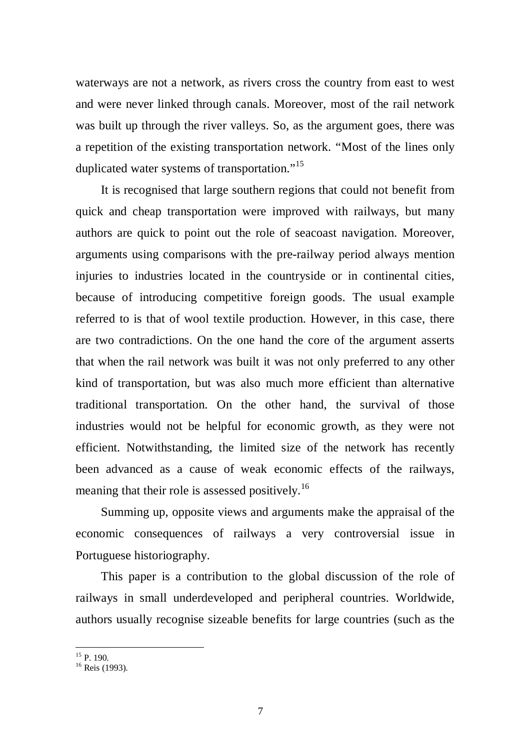waterways are not a network, as rivers cross the country from east to west and were never linked through canals. Moreover, most of the rail network was built up through the river valleys. So, as the argument goes, there was a repetition of the existing transportation network. "Most of the lines only duplicated water systems of transportation."<sup>15</sup>

It is recognised that large southern regions that could not benefit from quick and cheap transportation were improved with railways, but many authors are quick to point out the role of seacoast navigation. Moreover, arguments using comparisons with the pre-railway period always mention injuries to industries located in the countryside or in continental cities, because of introducing competitive foreign goods. The usual example referred to is that of wool textile production. However, in this case, there are two contradictions. On the one hand the core of the argument asserts that when the rail network was built it was not only preferred to any other kind of transportation, but was also much more efficient than alternative traditional transportation. On the other hand, the survival of those industries would not be helpful for economic growth, as they were not efficient. Notwithstanding, the limited size of the network has recently been advanced as a cause of weak economic effects of the railways, meaning that their role is assessed positively.<sup>16</sup>

Summing up, opposite views and arguments make the appraisal of the economic consequences of railways a very controversial issue in Portuguese historiography.

This paper is a contribution to the global discussion of the role of railways in small underdeveloped and peripheral countries. Worldwide, authors usually recognise sizeable benefits for large countries (such as the

 $\overline{a}$  $15$  P. 190.

 $16$  Reis (1993).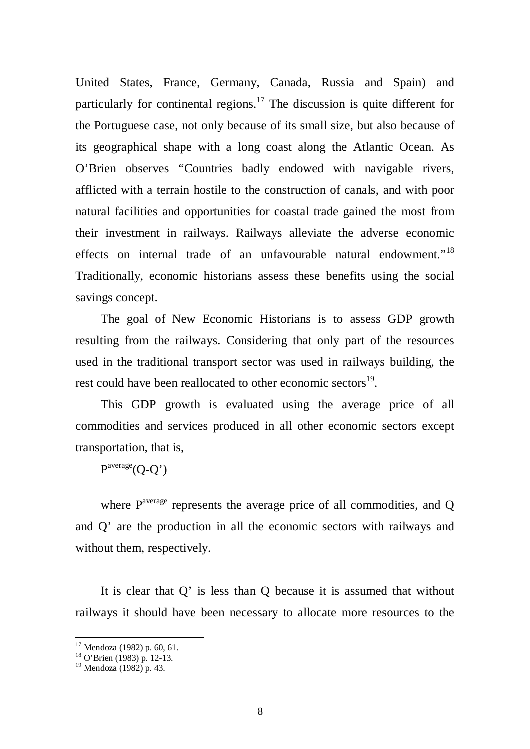United States, France, Germany, Canada, Russia and Spain) and particularly for continental regions.<sup>17</sup> The discussion is quite different for the Portuguese case, not only because of its small size, but also because of its geographical shape with a long coast along the Atlantic Ocean. As O'Brien observes "Countries badly endowed with navigable rivers, afflicted with a terrain hostile to the construction of canals, and with poor natural facilities and opportunities for coastal trade gained the most from their investment in railways. Railways alleviate the adverse economic effects on internal trade of an unfavourable natural endowment."<sup>18</sup> Traditionally, economic historians assess these benefits using the social savings concept.

The goal of New Economic Historians is to assess GDP growth resulting from the railways. Considering that only part of the resources used in the traditional transport sector was used in railways building, the rest could have been reallocated to other economic sectors<sup>19</sup>.

This GDP growth is evaluated using the average price of all commodities and services produced in all other economic sectors except transportation, that is,

 $P^{average}(O-O')$ 

where  $P^{average}$  represents the average price of all commodities, and O and Q' are the production in all the economic sectors with railways and without them, respectively.

It is clear that Q' is less than Q because it is assumed that without railways it should have been necessary to allocate more resources to the

<sup>&</sup>lt;sup>17</sup> Mendoza (1982) p. 60, 61.

<sup>18</sup> O'Brien (1983) p. 12-13.

<sup>19</sup> Mendoza (1982) p. 43.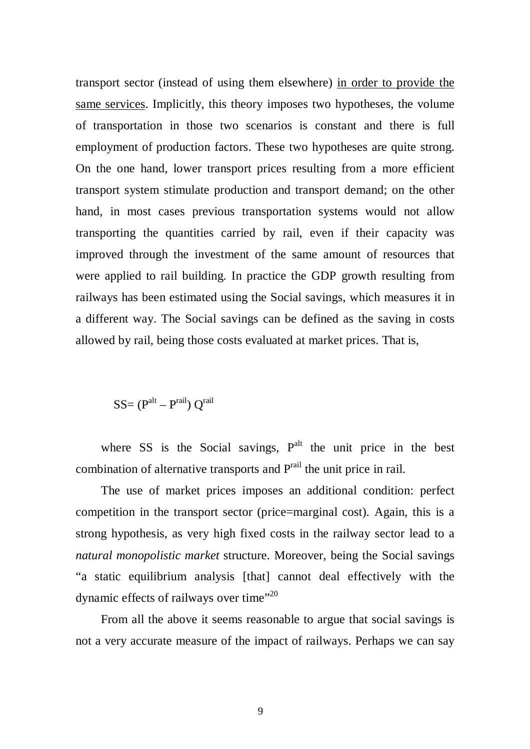transport sector (instead of using them elsewhere) in order to provide the same services. Implicitly, this theory imposes two hypotheses, the volume of transportation in those two scenarios is constant and there is full employment of production factors. These two hypotheses are quite strong. On the one hand, lower transport prices resulting from a more efficient transport system stimulate production and transport demand; on the other hand, in most cases previous transportation systems would not allow transporting the quantities carried by rail, even if their capacity was improved through the investment of the same amount of resources that were applied to rail building. In practice the GDP growth resulting from railways has been estimated using the Social savings, which measures it in a different way. The Social savings can be defined as the saving in costs allowed by rail, being those costs evaluated at market prices. That is,

 $SS=(P<sup>alt</sup> - P<sup>raid</sup>) Q<sup>raid</sup>$ 

where SS is the Social savings,  $P<sup>alt</sup>$  the unit price in the best combination of alternative transports and P<sup>rail</sup> the unit price in rail.

The use of market prices imposes an additional condition: perfect competition in the transport sector (price=marginal cost). Again, this is a strong hypothesis, as very high fixed costs in the railway sector lead to a *natural monopolistic market* structure. Moreover, being the Social savings "a static equilibrium analysis [that] cannot deal effectively with the dynamic effects of railways over time"<sup>20</sup>

From all the above it seems reasonable to argue that social savings is not a very accurate measure of the impact of railways. Perhaps we can say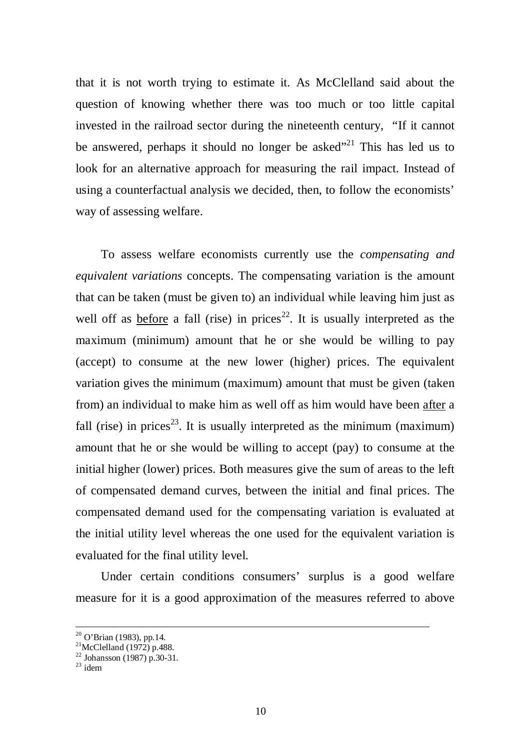that it is not worth trying to estimate it. As McClelland said about the question of knowing whether there was too much or too little capital invested in the railroad sector during the nineteenth century, "If it cannot be answered, perhaps it should no longer be asked $^{21}$  This has led us to look for an alternative approach for measuring the rail impact. Instead of using a counterfactual analysis we decided, then, to follow the economists' way of assessing welfare.

To assess welfare economists currently use the *compensating and equivalent variations* concepts. The compensating variation is the amount that can be taken (must be given to) an individual while leaving him just as well off as before a fall (rise) in prices<sup>22</sup>. It is usually interpreted as the maximum (minimum) amount that he or she would be willing to pay (accept) to consume at the new lower (higher) prices. The equivalent variation gives the minimum (maximum) amount that must be given (taken from) an individual to make him as well off as him would have been after a fall (rise) in prices<sup>23</sup>. It is usually interpreted as the minimum (maximum) amount that he or she would be willing to accept (pay) to consume at the initial higher (lower) prices. Both measures give the sum of areas to the left of compensated demand curves, between the initial and final prices. The compensated demand used for the compensating variation is evaluated at the initial utility level whereas the one used for the equivalent variation is evaluated for the final utility level.

Under certain conditions consumers' surplus is a good welfare measure for it is a good approximation of the measures referred to above

<u>.</u>

 $20$  O'Brian (1983), pp.14.

 $^{21}$ McClelland (1972) p.488.

<sup>22</sup> Johansson (1987) p.30-31.

 $23$  idem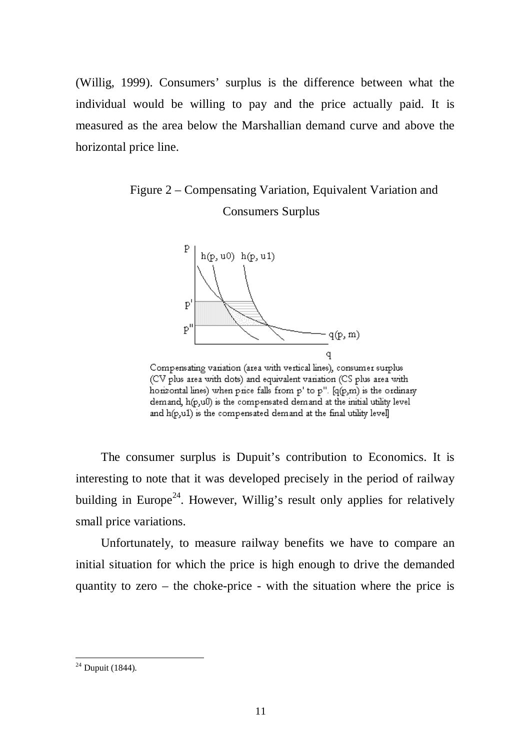(Willig, 1999). Consumers' surplus is the difference between what the individual would be willing to pay and the price actually paid. It is measured as the area below the Marshallian demand curve and above the horizontal price line.

## Figure 2 – Compensating Variation, Equivalent Variation and Consumers Surplus



Compensating variation (area with vertical lines), consumer surplus (CV plus area with dots) and equivalent variation (CS plus area with horizontal lines) when price falls from p' to p". [q(p,m) is the ordinary demand, h(p,ull) is the compensated demand at the initial utility level and h(p,u1) is the compensated demand at the final utility level]

The consumer surplus is Dupuit's contribution to Economics. It is interesting to note that it was developed precisely in the period of railway building in Europe<sup>24</sup>. However, Willig's result only applies for relatively small price variations.

Unfortunately, to measure railway benefits we have to compare an initial situation for which the price is high enough to drive the demanded quantity to zero – the choke-price - with the situation where the price is

 $24$  Dupuit (1844).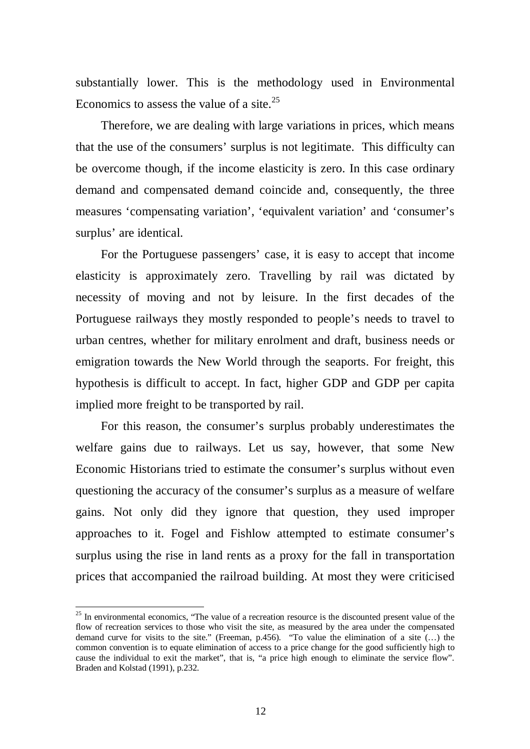substantially lower. This is the methodology used in Environmental Economics to assess the value of a site.<sup>25</sup>

Therefore, we are dealing with large variations in prices, which means that the use of the consumers' surplus is not legitimate. This difficulty can be overcome though, if the income elasticity is zero. In this case ordinary demand and compensated demand coincide and, consequently, the three measures 'compensating variation', 'equivalent variation' and 'consumer's surplus' are identical.

For the Portuguese passengers' case, it is easy to accept that income elasticity is approximately zero. Travelling by rail was dictated by necessity of moving and not by leisure. In the first decades of the Portuguese railways they mostly responded to people's needs to travel to urban centres, whether for military enrolment and draft, business needs or emigration towards the New World through the seaports. For freight, this hypothesis is difficult to accept. In fact, higher GDP and GDP per capita implied more freight to be transported by rail.

For this reason, the consumer's surplus probably underestimates the welfare gains due to railways. Let us say, however, that some New Economic Historians tried to estimate the consumer's surplus without even questioning the accuracy of the consumer's surplus as a measure of welfare gains. Not only did they ignore that question, they used improper approaches to it. Fogel and Fishlow attempted to estimate consumer's surplus using the rise in land rents as a proxy for the fall in transportation prices that accompanied the railroad building. At most they were criticised

<sup>&</sup>lt;sup>25</sup> In environmental economics, "The value of a recreation resource is the discounted present value of the flow of recreation services to those who visit the site, as measured by the area under the compensated demand curve for visits to the site." (Freeman, p.456). "To value the elimination of a site (…) the common convention is to equate elimination of access to a price change for the good sufficiently high to cause the individual to exit the market", that is, "a price high enough to eliminate the service flow". Braden and Kolstad (1991), p.232.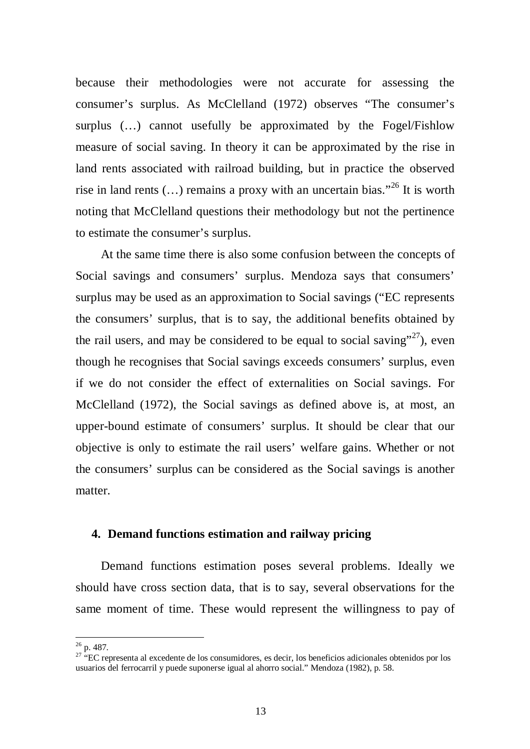because their methodologies were not accurate for assessing the consumer's surplus. As McClelland (1972) observes "The consumer's surplus (…) cannot usefully be approximated by the Fogel/Fishlow measure of social saving. In theory it can be approximated by the rise in land rents associated with railroad building, but in practice the observed rise in land rents  $(...)$  remains a proxy with an uncertain bias."<sup>26</sup> It is worth noting that McClelland questions their methodology but not the pertinence to estimate the consumer's surplus.

At the same time there is also some confusion between the concepts of Social savings and consumers' surplus. Mendoza says that consumers' surplus may be used as an approximation to Social savings ("EC represents the consumers' surplus, that is to say, the additional benefits obtained by the rail users, and may be considered to be equal to social saving"<sup>27</sup>), even though he recognises that Social savings exceeds consumers' surplus, even if we do not consider the effect of externalities on Social savings. For McClelland (1972), the Social savings as defined above is, at most, an upper-bound estimate of consumers' surplus. It should be clear that our objective is only to estimate the rail users' welfare gains. Whether or not the consumers' surplus can be considered as the Social savings is another matter.

#### **4. Demand functions estimation and railway pricing**

Demand functions estimation poses several problems. Ideally we should have cross section data, that is to say, several observations for the same moment of time. These would represent the willingness to pay of

 $26$  p. 487.

<sup>&</sup>lt;sup>27</sup> "EC representa al excedente de los consumidores, es decir, los beneficios adicionales obtenidos por los usuarios del ferrocarril y puede suponerse igual al ahorro social." Mendoza (1982), p. 58.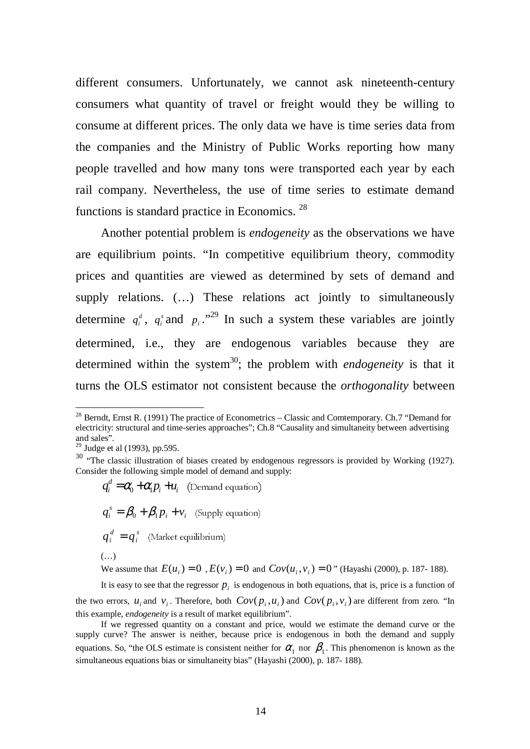different consumers. Unfortunately, we cannot ask nineteenth-century consumers what quantity of travel or freight would they be willing to consume at different prices. The only data we have is time series data from the companies and the Ministry of Public Works reporting how many people travelled and how many tons were transported each year by each rail company. Nevertheless, the use of time series to estimate demand functions is standard practice in Economics. <sup>28</sup>

Another potential problem is *endogeneity* as the observations we have are equilibrium points. "In competitive equilibrium theory, commodity prices and quantities are viewed as determined by sets of demand and supply relations. (…) These relations act jointly to simultaneously determine  $q_i^d$ ,  $q_i^s$  and  $p_i$ ."<sup>29</sup> In such a system these variables are jointly determined, i.e., they are endogenous variables because they are determined within the system<sup>30</sup>; the problem with *endogeneity* is that it turns the OLS estimator not consistent because the *orthogonality* between

 $\overline{a}$ 

 $\mathbf{u}_i \cdot \mathbf{u}_i$  $q_i^d = \alpha_0 + \alpha_1 p_i + u_i$  (Demand equation) *i i*  $q_i^s = \beta_0 + \beta_1 p_i + v_i$  (Supply equation) *s i*  $q_i^d = q_i^s$  (Market equilibrium) (…)

We assume that  $E(u_i) = 0$ ,  $E(v_i) = 0$  and  $Cov(u_i, v_i) = 0$ " (Hayashi (2000), p. 187- 188).

It is easy to see that the regressor  $p_i$  is endogenous in both equations, that is, price is a function of the two errors,  $u_i$  and  $v_i$ . Therefore, both  $Cov(p_i, u_i)$  and  $Cov(p_i, v_i)$  are different from zero. "In this example, *endogeneity* is a result of market equilibrium".

If we regressed quantity on a constant and price, would we estimate the demand curve or the supply curve? The answer is neither, because price is endogenous in both the demand and supply equations. So, "the OLS estimate is consistent neither for  $\alpha_1$  nor  $\beta_1$ . This phenomenon is known as the simultaneous equations bias or simultaneity bias" (Hayashi (2000), p. 187- 188).

 $^{28}$  Berndt, Ernst R. (1991) The practice of Econometrics – Classic and Comtemporary. Ch.7 "Demand for electricity: structural and time-series approaches"; Ch.8 "Causality and simultaneity between advertising and sales".

 $29$  Judge et al (1993), pp.595.

<sup>&</sup>lt;sup>30</sup> "The classic illustration of biases created by endogenous regressors is provided by Working (1927). Consider the following simple model of demand and supply: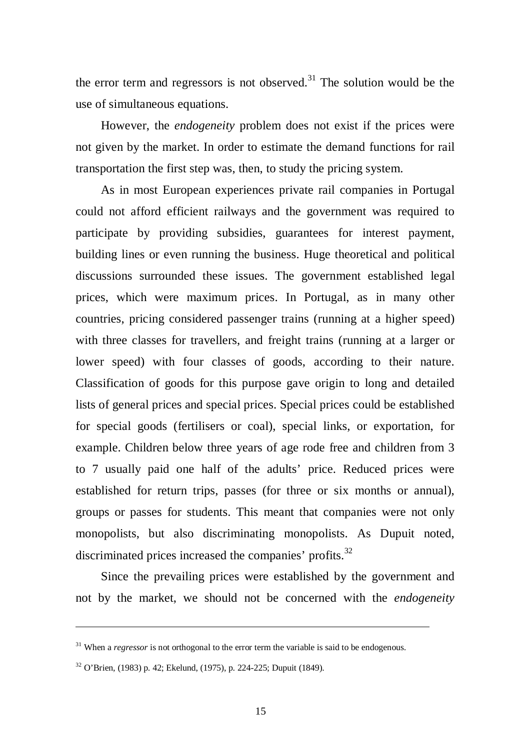the error term and regressors is not observed.<sup>31</sup> The solution would be the use of simultaneous equations.

However, the *endogeneity* problem does not exist if the prices were not given by the market. In order to estimate the demand functions for rail transportation the first step was, then, to study the pricing system.

As in most European experiences private rail companies in Portugal could not afford efficient railways and the government was required to participate by providing subsidies, guarantees for interest payment, building lines or even running the business. Huge theoretical and political discussions surrounded these issues. The government established legal prices, which were maximum prices. In Portugal, as in many other countries, pricing considered passenger trains (running at a higher speed) with three classes for travellers, and freight trains (running at a larger or lower speed) with four classes of goods, according to their nature. Classification of goods for this purpose gave origin to long and detailed lists of general prices and special prices. Special prices could be established for special goods (fertilisers or coal), special links, or exportation, for example. Children below three years of age rode free and children from 3 to 7 usually paid one half of the adults' price. Reduced prices were established for return trips, passes (for three or six months or annual), groups or passes for students. This meant that companies were not only monopolists, but also discriminating monopolists. As Dupuit noted, discriminated prices increased the companies' profits.<sup>32</sup>

Since the prevailing prices were established by the government and not by the market, we should not be concerned with the *endogeneity*

<u>.</u>

<sup>&</sup>lt;sup>31</sup> When a *regressor* is not orthogonal to the error term the variable is said to be endogenous.

<sup>32</sup> O'Brien, (1983) p. 42; Ekelund, (1975), p. 224-225; Dupuit (1849).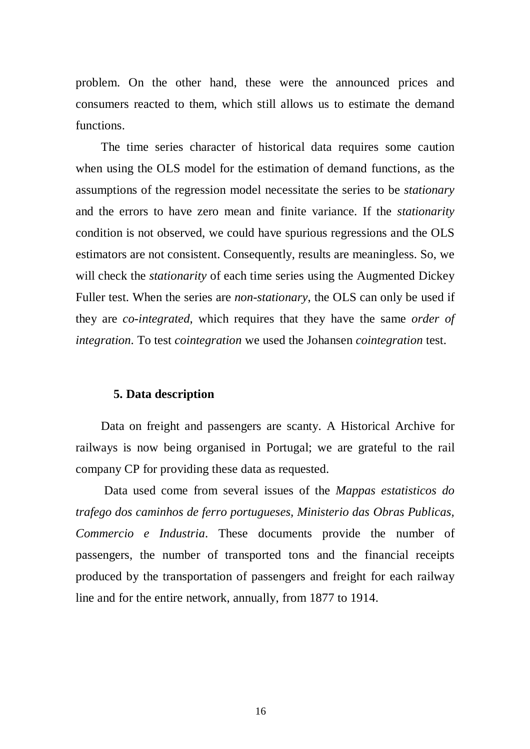problem. On the other hand, these were the announced prices and consumers reacted to them, which still allows us to estimate the demand functions.

The time series character of historical data requires some caution when using the OLS model for the estimation of demand functions, as the assumptions of the regression model necessitate the series to be *stationary* and the errors to have zero mean and finite variance. If the *stationarity* condition is not observed, we could have spurious regressions and the OLS estimators are not consistent. Consequently, results are meaningless. So, we will check the *stationarity* of each time series using the Augmented Dickey Fuller test. When the series are *non-stationary*, the OLS can only be used if they are *co-integrated*, which requires that they have the same *order of integration*. To test *cointegration* we used the Johansen *cointegration* test.

#### **5. Data description**

Data on freight and passengers are scanty. A Historical Archive for railways is now being organised in Portugal; we are grateful to the rail company CP for providing these data as requested.

 Data used come from several issues of the *Mappas estatisticos do trafego dos caminhos de ferro portugueses, Ministerio das Obras Publicas, Commercio e Industria*. These documents provide the number of passengers, the number of transported tons and the financial receipts produced by the transportation of passengers and freight for each railway line and for the entire network, annually, from 1877 to 1914.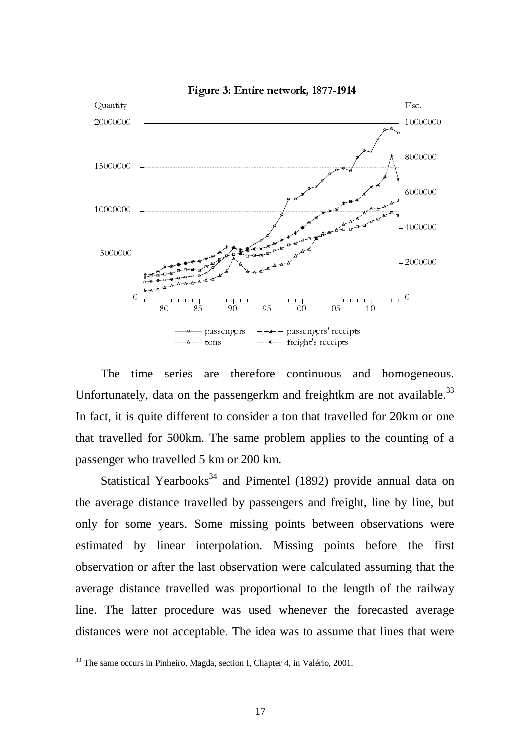

Figure 3: Entire network, 1877-1914

The time series are therefore continuous and homogeneous. Unfortunately, data on the passengerkm and freightkm are not available.<sup>33</sup> In fact, it is quite different to consider a ton that travelled for 20km or one that travelled for 500km. The same problem applies to the counting of a passenger who travelled 5 km or 200 km.

 $\begin{array}{c} \mathbf{1} \ \mathbf{1} \ \mathbf{2} \ \mathbf{3} \ \mathbf{4} \ \mathbf{5} \ \mathbf{6} \ \mathbf{7} \ \mathbf{8} \ \mathbf{9} \ \mathbf{1} \ \mathbf{1} \ \mathbf{1} \ \mathbf{1} \ \mathbf{1} \ \mathbf{1} \ \mathbf{1} \ \mathbf{1} \ \mathbf{1} \ \mathbf{1} \ \mathbf{1} \ \mathbf{1} \ \mathbf{1} \ \mathbf{1} \ \mathbf{1} \ \mathbf{1} \ \mathbf{1} \ \mathbf{1} \ \mathbf{1} \ \mathbf{1} \ \mathbf$ The<br>The primate of the straight<br>traveller and straight verage<br>for some and the primate of the modes where<br>same occurrences where 10000000 0 v c: n d / ic 1 g e d 1 ogened<br>
vailabl<br>
xm or<br>
mting d<br>
l<br>
data<br>
l<br>
data<br>
the faily<br>
d<br>
aver<br>
that w<br>
that w 4000000 40000000<br>40000000<br>20000000<br>0<br>0<br>0<br>0<br>0<br>ming c<br>1<br>data<br>1<br>ming c<br>1<br>data<br>1<br>ming c<br>1<br>data<br>1<br>ming t<br>data<br>1<br>data<br>1<br>data<br>1<br>data<br>1<br>data<br>1<br>data<br>1<br>data<br>1<br>data<br>1<br>data<br><br>data<br><br>data<br><br>data<br><br>data<br><br>data<br>  $\frac{1}{10}$  assengers  $\frac{1}{10}$  assengers  $\frac{1}{10}$  assengers  $\frac{1}{10}$  assengers  $\frac{1}{10}$  freight's receipts<br>series are therefore continuous and<br>ata on the passengerkm and freightkm are<br>elifferent to consider a ton t rtons<br>are the<br>e passen<br>t to con:<br>The sail<br>km or 2<br>s<sup>34</sup> and<br>elled by<br>ome mis<br>terpolati<br>st obser<br>d was p<br>re was<br>able. Th are<br>are<br>to Th<br>km<br>s<sup>34</sup><br>elle<br>terp<br>st (d w<br>re<br>able passengers' receipts<br>freight's receipts<br>continuous and<br>and freightkm and freightkm and freightkm<br>ights to<br>left and freight<br>ints between<br>ssing points<br>were calculated<br>mal to the leng<br>henever the f<br>as to assume t<br>as to assume freight's receipts<br>continuous<br>and freightkr<br>on that trave<br>lem applies<br>1 (1892) prc<br>gers and frei<br>ints betwee<br>ssing point<br>were calculat<br>nal to the le<br>henever the<br>as to assum<br>4, in Valério, 2001 Statistical Yearbooks<sup>34</sup> and Pimentel (1892) provide annual data on the average distance travelled by passengers and freight, line by line, but only for some years. Some missing points between observations were estimated by linear interpolation. Missing points before the first observation or after the last observation were calculated assuming that the average distance travelled was proportional to the length of the railway line. The latter procedure was used whenever the forecasted average distances were not acceptable. The idea was to assume that lines that were

<sup>&</sup>lt;sup>33</sup> The same occurs in Pinheiro, Magda, section I, Chapter 4, in Valério, 2001.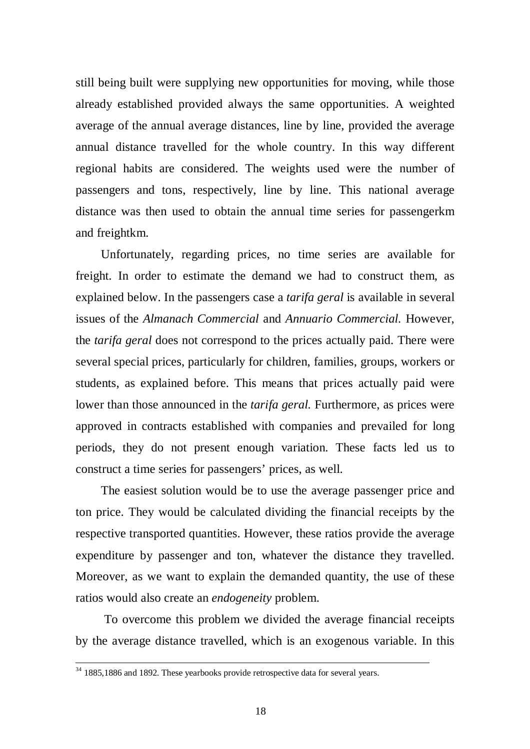still being built were supplying new opportunities for moving, while those already established provided always the same opportunities. A weighted average of the annual average distances, line by line, provided the average annual distance travelled for the whole country. In this way different regional habits are considered. The weights used were the number of passengers and tons, respectively, line by line. This national average distance was then used to obtain the annual time series for passengerkm and freightkm.

Unfortunately, regarding prices, no time series are available for freight. In order to estimate the demand we had to construct them, as explained below. In the passengers case a *tarifa geral* is available in several issues of the *Almanach Commercial* and *Annuario Commercial.* However, the *tarifa geral* does not correspond to the prices actually paid. There were several special prices, particularly for children, families, groups, workers or students, as explained before. This means that prices actually paid were lower than those announced in the *tarifa geral.* Furthermore, as prices were approved in contracts established with companies and prevailed for long periods, they do not present enough variation. These facts led us to construct a time series for passengers' prices, as well.

The easiest solution would be to use the average passenger price and ton price. They would be calculated dividing the financial receipts by the respective transported quantities. However, these ratios provide the average expenditure by passenger and ton, whatever the distance they travelled. Moreover, as we want to explain the demanded quantity, the use of these ratios would also create an *endogeneity* problem.

 To overcome this problem we divided the average financial receipts by the average distance travelled, which is an exogenous variable. In this

<u>.</u>

<sup>&</sup>lt;sup>34</sup> 1885,1886 and 1892. These yearbooks provide retrospective data for several years.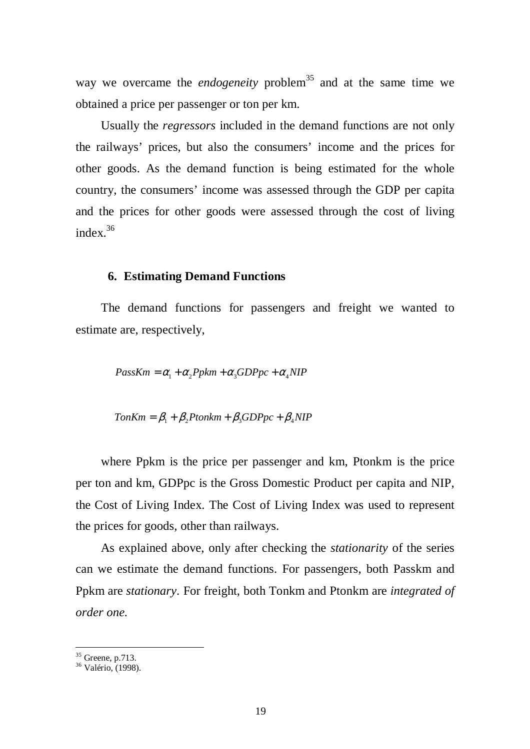way we overcame the *endogeneity* problem<sup>35</sup> and at the same time we obtained a price per passenger or ton per km.

Usually the *regressors* included in the demand functions are not only the railways' prices, but also the consumers' income and the prices for other goods. As the demand function is being estimated for the whole country, the consumers' income was assessed through the GDP per capita and the prices for other goods were assessed through the cost of living index.<sup>36</sup>

#### **6. Estimating Demand Functions**

The demand functions for passengers and freight we wanted to estimate are, respectively,

$$
PassKm = \alpha_1 + \alpha_2 Ppkm + \alpha_3 GDPpc + \alpha_4 NIP
$$

$$
TonKm = \beta_1 + \beta_2 Ptonkm + \beta_3 GDPpc + \beta_4 NIP
$$

where Ppkm is the price per passenger and km, Ptonkm is the price per ton and km, GDPpc is the Gross Domestic Product per capita and NIP, the Cost of Living Index. The Cost of Living Index was used to represent the prices for goods, other than railways.

As explained above, only after checking the *stationarity* of the series can we estimate the demand functions. For passengers, both Passkm and Ppkm are *stationary*. For freight, both Tonkm and Ptonkm are *integrated of order one.*

 $35$  Greene, p.713.

<sup>36</sup> Valério, (1998).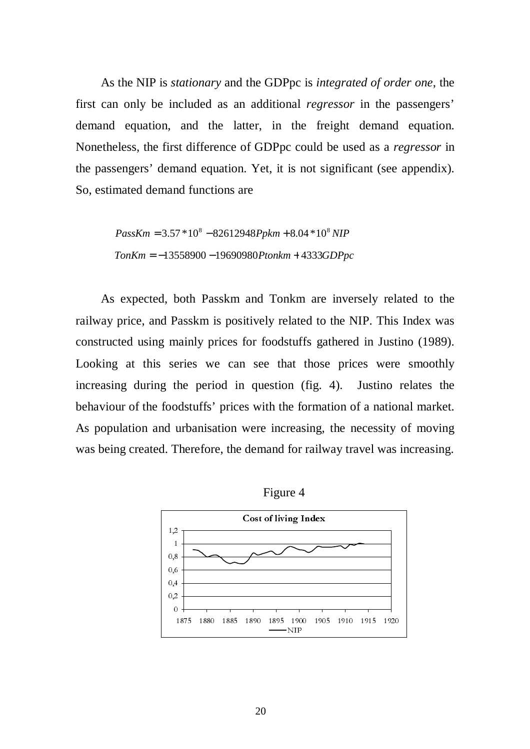As the NIP is *stationary* and the GDPpc is *integrated of order one*, the first can only be included as an additional *regressor* in the passengers' demand equation, and the latter, in the freight demand equation. Nonetheless, the first difference of GDPpc could be used as a *regressor* in the passengers' demand equation. Yet, it is not significant (see appendix). So, estimated demand functions are

$$
PassKm = 3.57 * 108 - 82612948Ppkm + 8.04 * 108 NIP
$$

$$
TomKm = -13558900 - 19690980Ptonkm + 4333GDPpc
$$

As expected, both Passkm and Tonkm are inversely related to the railway price, and Passkm is positively related to the NIP. This Index was constructed using mainly prices for foodstuffs gathered in Justino (1989). Looking at this series we can see that those prices were smoothly increasing during the period in question (fig. 4). Justino relates the behaviour of the foodstuffs' prices with the formation of a national market. As population and urbanisation were increasing, the necessity of moving was being created. Therefore, the demand for railway travel was increasing.



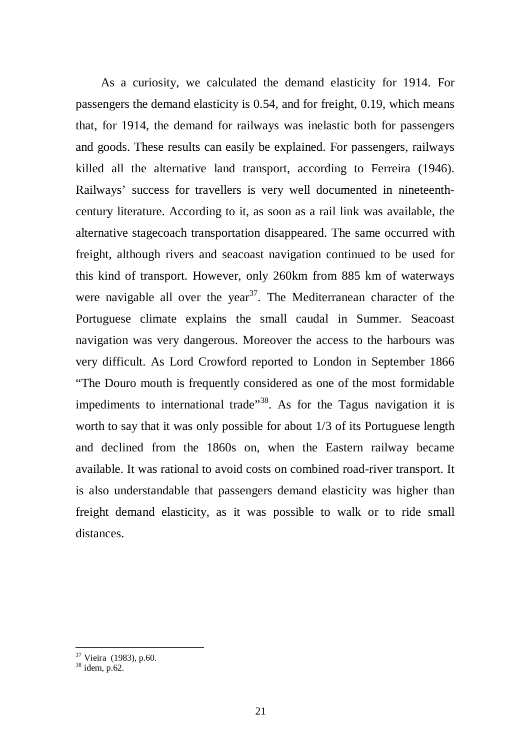As a curiosity, we calculated the demand elasticity for 1914. For passengers the demand elasticity is 0.54, and for freight, 0.19, which means that, for 1914, the demand for railways was inelastic both for passengers and goods. These results can easily be explained. For passengers, railways killed all the alternative land transport, according to Ferreira (1946). Railways' success for travellers is very well documented in nineteenthcentury literature. According to it, as soon as a rail link was available, the alternative stagecoach transportation disappeared. The same occurred with freight, although rivers and seacoast navigation continued to be used for this kind of transport. However, only 260km from 885 km of waterways were navigable all over the year<sup>37</sup>. The Mediterranean character of the Portuguese climate explains the small caudal in Summer. Seacoast navigation was very dangerous. Moreover the access to the harbours was very difficult. As Lord Crowford reported to London in September 1866 "The Douro mouth is frequently considered as one of the most formidable impediments to international trade<sup> $38$ </sup>. As for the Tagus navigation it is worth to say that it was only possible for about 1/3 of its Portuguese length and declined from the 1860s on, when the Eastern railway became available. It was rational to avoid costs on combined road-river transport. It is also understandable that passengers demand elasticity was higher than freight demand elasticity, as it was possible to walk or to ride small distances.

<sup>&</sup>lt;sup>37</sup> Vieira (1983), p.60.

 $38 \text{ idem}, \text{p.62}.$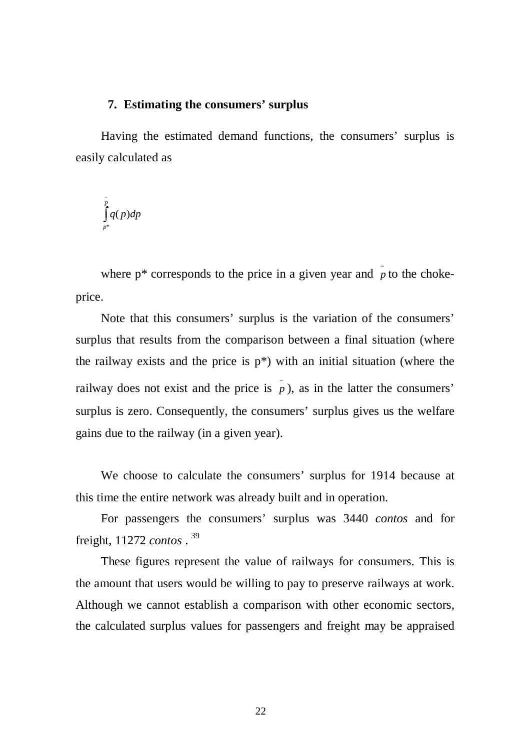#### **7. Estimating the consumers' surplus**

Having the estimated demand functions, the consumers' surplus is easily calculated as

$$
\int\limits_{p^*}^{\tilde{p}}q(p)dp
$$

where  $p^*$  corresponds to the price in a given year and  $\tilde{p}$  to the chokeprice.

Note that this consumers' surplus is the variation of the consumers' surplus that results from the comparison between a final situation (where the railway exists and the price is  $p^*$ ) with an initial situation (where the railway does not exist and the price is  $\tilde{p}$ ), as in the latter the consumers' surplus is zero. Consequently, the consumers' surplus gives us the welfare gains due to the railway (in a given year).

We choose to calculate the consumers' surplus for 1914 because at this time the entire network was already built and in operation.

For passengers the consumers' surplus was 3440 *contos* and for freight, 11272 *contos* . 39

These figures represent the value of railways for consumers. This is the amount that users would be willing to pay to preserve railways at work. Although we cannot establish a comparison with other economic sectors, the calculated surplus values for passengers and freight may be appraised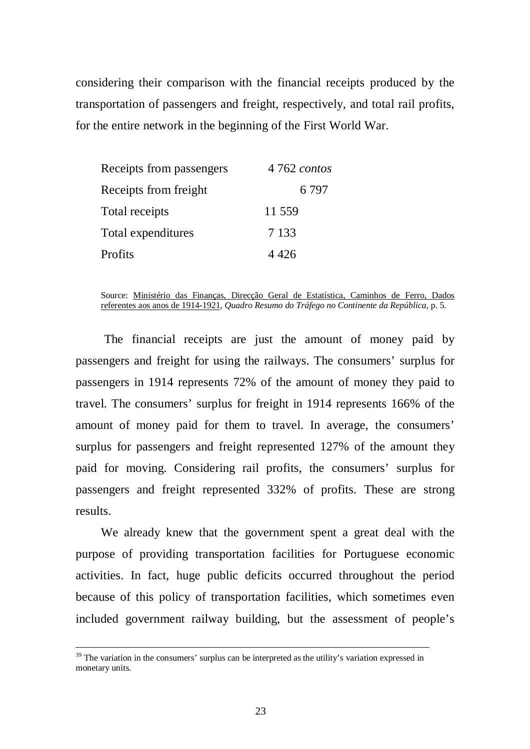considering their comparison with the financial receipts produced by the transportation of passengers and freight, respectively, and total rail profits, for the entire network in the beginning of the First World War.

| Receipts from passengers | 4 762 contos |  |  |
|--------------------------|--------------|--|--|
| Receipts from freight    | 6 7 9 7      |  |  |
| Total receipts           | 11 559       |  |  |
| Total expenditures       | 7 1 3 3      |  |  |
| Profits                  | 4 426        |  |  |

Source: Ministério das Finanças, Direcção Geral de Estatística, Caminhos de Ferro, Dados referentes aos anos de 1914-1921, *Quadro Resumo do Tráfego no Continente da República*, p. 5.

 The financial receipts are just the amount of money paid by passengers and freight for using the railways. The consumers' surplus for passengers in 1914 represents 72% of the amount of money they paid to travel. The consumers' surplus for freight in 1914 represents 166% of the amount of money paid for them to travel. In average, the consumers' surplus for passengers and freight represented 127% of the amount they paid for moving. Considering rail profits, the consumers' surplus for passengers and freight represented 332% of profits. These are strong results.

We already knew that the government spent a great deal with the purpose of providing transportation facilities for Portuguese economic activities. In fact, huge public deficits occurred throughout the period because of this policy of transportation facilities, which sometimes even included government railway building, but the assessment of people's

-

 $39$  The variation in the consumers' surplus can be interpreted as the utility's variation expressed in monetary units.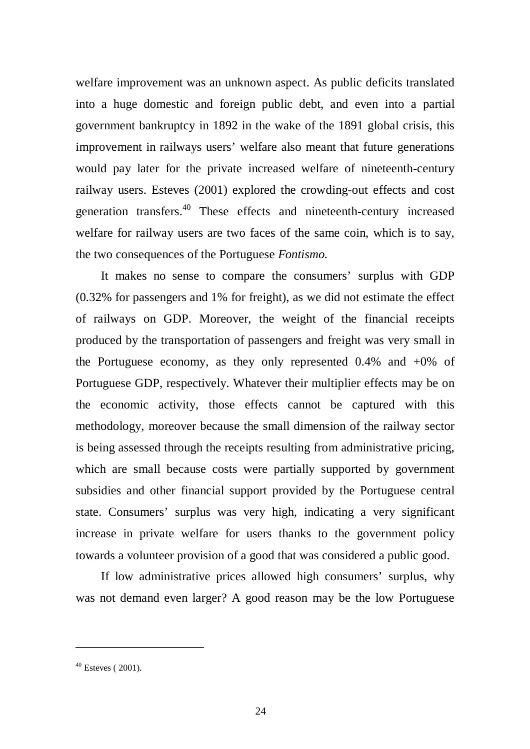welfare improvement was an unknown aspect. As public deficits translated into a huge domestic and foreign public debt, and even into a partial government bankruptcy in 1892 in the wake of the 1891 global crisis, this improvement in railways users' welfare also meant that future generations would pay later for the private increased welfare of nineteenth-century railway users. Esteves (2001) explored the crowding-out effects and cost generation transfers.40 These effects and nineteenth-century increased welfare for railway users are two faces of the same coin, which is to say, the two consequences of the Portuguese *Fontismo.*

It makes no sense to compare the consumers' surplus with GDP (0.32% for passengers and 1% for freight), as we did not estimate the effect of railways on GDP. Moreover, the weight of the financial receipts produced by the transportation of passengers and freight was very small in the Portuguese economy, as they only represented 0.4% and +0% of Portuguese GDP, respectively. Whatever their multiplier effects may be on the economic activity, those effects cannot be captured with this methodology, moreover because the small dimension of the railway sector is being assessed through the receipts resulting from administrative pricing, which are small because costs were partially supported by government subsidies and other financial support provided by the Portuguese central state. Consumers' surplus was very high, indicating a very significant increase in private welfare for users thanks to the government policy towards a volunteer provision of a good that was considered a public good.

If low administrative prices allowed high consumers' surplus, why was not demand even larger? A good reason may be the low Portuguese

 $40$  Esteves (2001).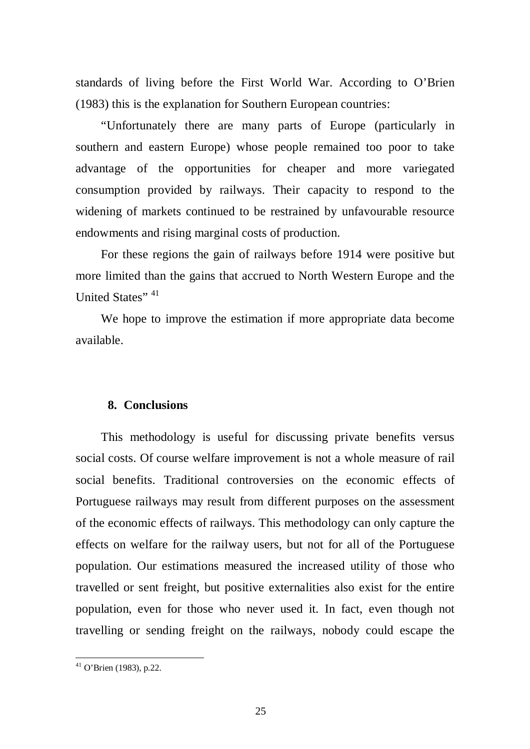standards of living before the First World War. According to O'Brien (1983) this is the explanation for Southern European countries:

"Unfortunately there are many parts of Europe (particularly in southern and eastern Europe) whose people remained too poor to take advantage of the opportunities for cheaper and more variegated consumption provided by railways. Their capacity to respond to the widening of markets continued to be restrained by unfavourable resource endowments and rising marginal costs of production.

For these regions the gain of railways before 1914 were positive but more limited than the gains that accrued to North Western Europe and the United States"<sup>41</sup>

We hope to improve the estimation if more appropriate data become available.

#### **8. Conclusions**

This methodology is useful for discussing private benefits versus social costs. Of course welfare improvement is not a whole measure of rail social benefits. Traditional controversies on the economic effects of Portuguese railways may result from different purposes on the assessment of the economic effects of railways. This methodology can only capture the effects on welfare for the railway users, but not for all of the Portuguese population. Our estimations measured the increased utility of those who travelled or sent freight, but positive externalities also exist for the entire population, even for those who never used it. In fact, even though not travelling or sending freight on the railways, nobody could escape the

 $41$  O'Brien (1983), p.22.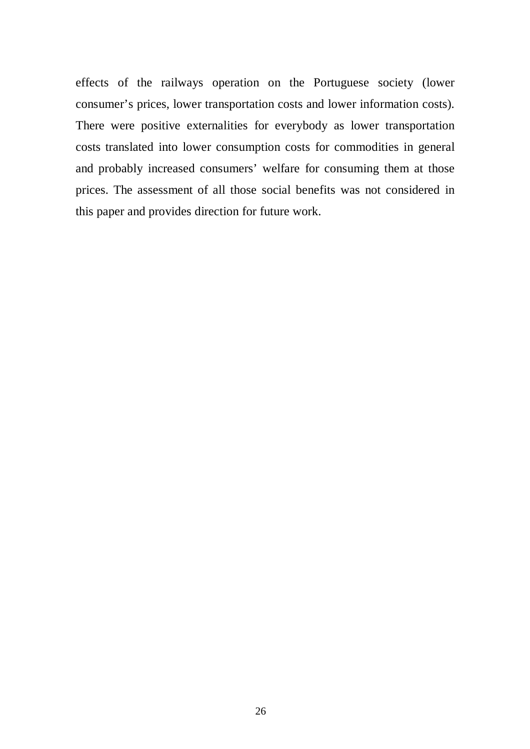effects of the railways operation on the Portuguese society (lower consumer's prices, lower transportation costs and lower information costs). There were positive externalities for everybody as lower transportation costs translated into lower consumption costs for commodities in general and probably increased consumers' welfare for consuming them at those prices. The assessment of all those social benefits was not considered in this paper and provides direction for future work.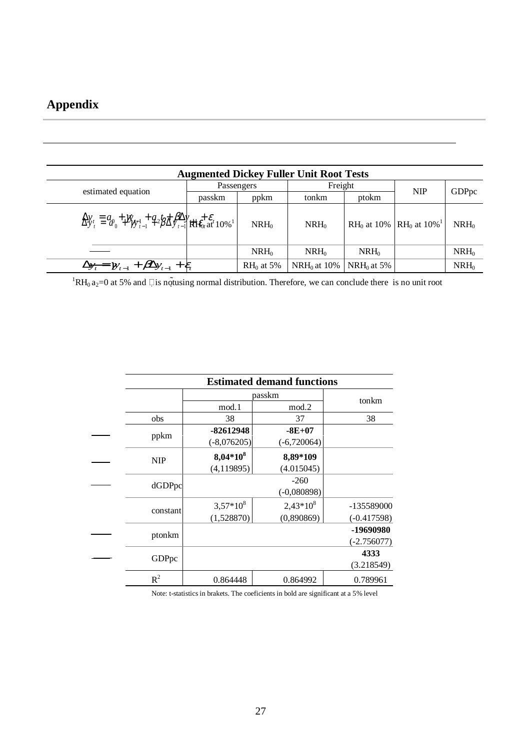# **Appendix**

| <b>Augmented Dickey Fuller Unit Root Tests</b>                                                                                |            |              |                |               |                                                            |         |  |
|-------------------------------------------------------------------------------------------------------------------------------|------------|--------------|----------------|---------------|------------------------------------------------------------|---------|--|
| estimated equation                                                                                                            | Passengers |              | Freight        |               |                                                            |         |  |
|                                                                                                                               | passkm     | ppkm         | tonkm          | ptokm         | <b>NIP</b>                                                 | GDPpc   |  |
| $\Delta y_i \equiv q_{\theta_0} + \gamma y_{\theta_1} + q_2 \beta \Delta \theta \sqrt{\frac{2}{\pi}} \epsilon_i + \epsilon_i$ |            | $NRH_0$      | $NRH_0$        |               | RH <sub>0</sub> at 10% RH <sub>0</sub> at 10% <sup>1</sup> | $NRH_0$ |  |
|                                                                                                                               |            | $NRH_0$      | $NRH_0$        | $NRH_0$       |                                                            | $NRH_0$ |  |
| $\Delta y_t = y_{t-1} + \beta \Delta y_{t-1} + \varepsilon_t$                                                                 |            | $RH_0$ at 5% | $NRH_0$ at 10% | $NRH_0$ at 5% |                                                            | $NRH_0$ |  |

<sup>1</sup>RH<sub>0</sub> a<sub>2</sub>=0 at 5% and  $\Box$  is not using normal distribution. Therefore, we can conclude there is no unit root

|  | <b>Estimated demand functions</b> |               |               |               |  |  |
|--|-----------------------------------|---------------|---------------|---------------|--|--|
|  |                                   | passkm        | tonkm         |               |  |  |
|  |                                   | mod.1         | mod.2         |               |  |  |
|  | obs                               | 38            | 37            | 38            |  |  |
|  |                                   | -82612948     | $-8E+07$      |               |  |  |
|  | ppkm                              | $(-8,076205)$ | $(-6,720064)$ |               |  |  |
|  | <b>NIP</b>                        | $8,04*10^8$   | 8,89*109      |               |  |  |
|  |                                   | (4,119895)    | (4.015045)    |               |  |  |
|  |                                   |               | $-260$        |               |  |  |
|  | dGDPpc                            |               | $(-0,080898)$ |               |  |  |
|  | constant                          | $3,57*10^{8}$ | $2,43*10^{8}$ | -135589000    |  |  |
|  |                                   | (1,528870)    | (0,890869)    | $(-0.417598)$ |  |  |
|  |                                   |               |               | -19690980     |  |  |
|  | ptonkm                            |               |               | $(-2.756077)$ |  |  |
|  | GDPpc                             |               |               | 4333          |  |  |
|  |                                   |               |               | (3.218549)    |  |  |
|  | $R^2$                             | 0.864448      | 0.864992      | 0.789961      |  |  |

Note: t-statistics in brakets. The coeficients in bold are significant at a 5% level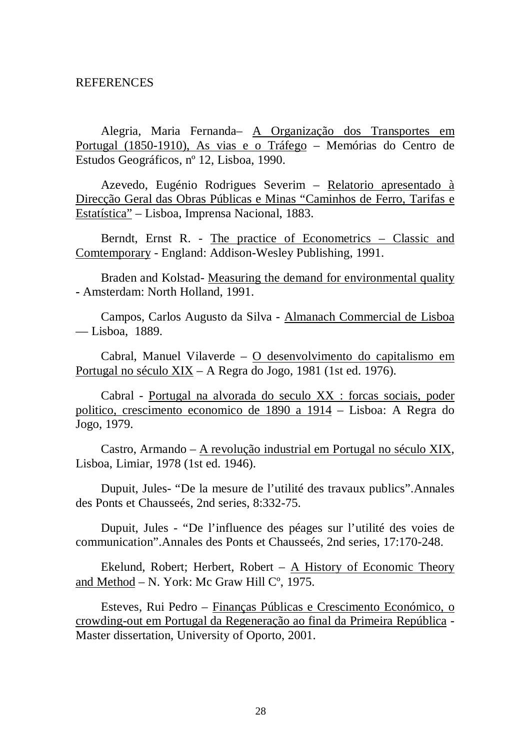#### REFERENCES

Alegria, Maria Fernanda– A Organização dos Transportes em Portugal (1850-1910), As vias e o Tráfego – Memórias do Centro de Estudos Geográficos, nº 12, Lisboa, 1990.

Azevedo, Eugénio Rodrigues Severim – Relatorio apresentado à Direcção Geral das Obras Públicas e Minas "Caminhos de Ferro, Tarifas e Estatística" – Lisboa, Imprensa Nacional, 1883.

Berndt, Ernst R. - The practice of Econometrics – Classic and Comtemporary - England: Addison-Wesley Publishing, 1991.

Braden and Kolstad- Measuring the demand for environmental quality **-** Amsterdam: North Holland, 1991.

Campos, Carlos Augusto da Silva - Almanach Commercial de Lisboa –– Lisboa, 1889.

Cabral, Manuel Vilaverde – O desenvolvimento do capitalismo em Portugal no século XIX – A Regra do Jogo, 1981 (1st ed. 1976).

Cabral - Portugal na alvorada do seculo XX : forcas sociais, poder politico, crescimento economico de 1890 a 1914 – Lisboa: A Regra do Jogo, 1979.

Castro, Armando – A revolução industrial em Portugal no século XIX, Lisboa, Limiar, 1978 (1st ed. 1946).

Dupuit, Jules- "De la mesure de l'utilité des travaux publics".Annales des Ponts et Chausseés, 2nd series, 8:332-75.

Dupuit, Jules - "De l'influence des péages sur l'utilité des voies de communication".Annales des Ponts et Chausseés, 2nd series, 17:170-248.

Ekelund, Robert; Herbert, Robert  $-$  A History of Economic Theory and Method  $- N$ . York: Mc Graw Hill  $C^{\circ}$ , 1975.

Esteves, Rui Pedro – Finanças Públicas e Crescimento Económico, o crowding-out em Portugal da Regeneração ao final da Primeira República - Master dissertation, University of Oporto, 2001.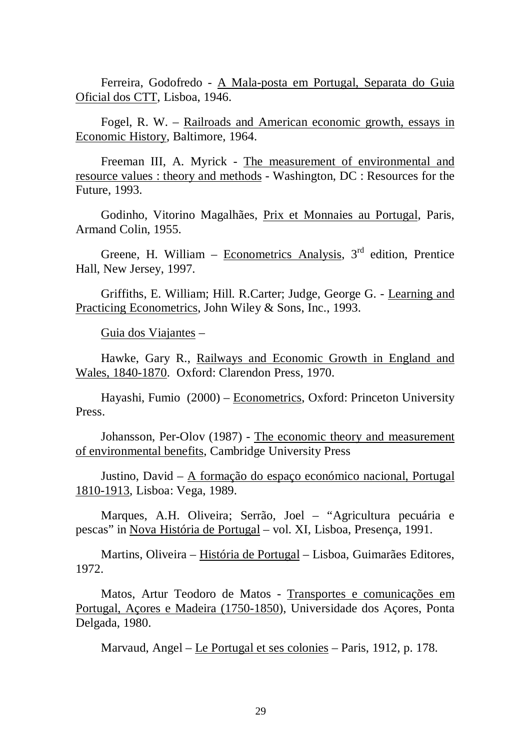Ferreira, Godofredo - A Mala-posta em Portugal, Separata do Guia Oficial dos CTT, Lisboa, 1946.

Fogel, R. W. – Railroads and American economic growth, essays in Economic History, Baltimore, 1964.

Freeman III, A. Myrick - The measurement of environmental and resource values : theory and methods - Washington, DC : Resources for the Future, 1993.

Godinho, Vitorino Magalhães, Prix et Monnaies au Portugal, Paris, Armand Colin, 1955.

Greene, H. William – Econometrics Analysis,  $3<sup>rd</sup>$  edition, Prentice Hall, New Jersey, 1997.

Griffiths, E. William; Hill. R.Carter; Judge, George G. - Learning and Practicing Econometrics, John Wiley & Sons, Inc., 1993.

Guia dos Viajantes –

Hawke, Gary R., Railways and Economic Growth in England and Wales, 1840-1870. Oxford: Clarendon Press, 1970.

Hayashi, Fumio (2000) – Econometrics, Oxford: Princeton University Press.

Johansson, Per-Olov (1987) - The economic theory and measurement of environmental benefits, Cambridge University Press

Justino, David – A formação do espaço económico nacional, Portugal 1810-1913, Lisboa: Vega, 1989.

Marques, A.H. Oliveira; Serrão, Joel – "Agricultura pecuária e pescas" in Nova História de Portugal – vol. XI, Lisboa, Presença, 1991.

Martins, Oliveira – História de Portugal – Lisboa, Guimarães Editores, 1972.

Matos, Artur Teodoro de Matos - Transportes e comunicações em Portugal, Açores e Madeira (1750-1850), Universidade dos Açores, Ponta Delgada, 1980.

Marvaud, Angel – Le Portugal et ses colonies – Paris, 1912, p. 178.